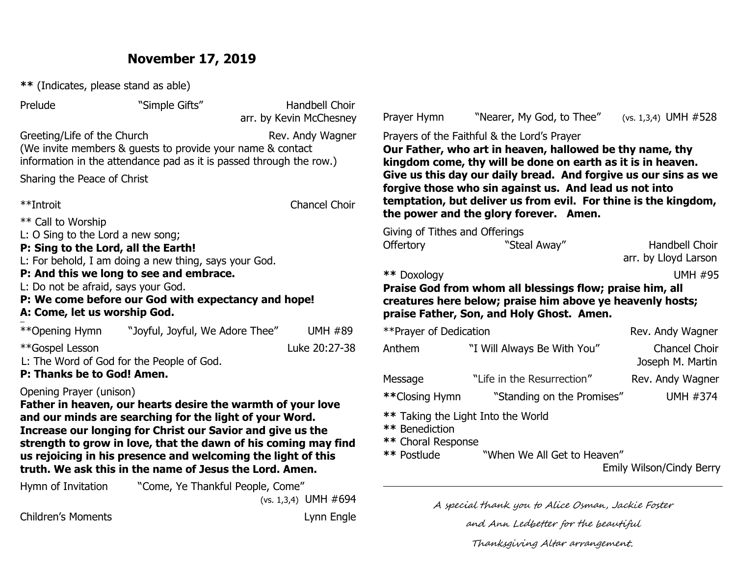### **November 17, 2019**

**\*\*** (Indicates, please stand as able)

Prelude "Simple Gifts" Handbell Choir arr. by Kevin McChesney Greeting/Life of the Church Rev. Andy Wagner (We invite members & guests to provide your name & contact information in the attendance pad as it is passed through the row.) Sharing the Peace of Christ \*\*Introit Chancel Choir \*\* Call to Worship L: O Sing to the Lord a new song; **P: Sing to the Lord, all the Earth!**  L: For behold, I am doing a new thing, says your God. **P: And this we long to see and embrace.**  L: Do not be afraid, says your God. **P: We come before our God with expectancy and hope! A: Come, let us worship God.** i, \*\*Opening Hymn "Joyful, Joyful, We Adore Thee" UMH #89 \*\*Gospel Lesson Luke 20:27-38 L: The Word of God for the People of God. **P: Thanks be to God! Amen.** Opening Prayer (unison) **Father in heaven, our hearts desire the warmth of your love and our minds are searching for the light of your Word. Increase our longing for Christ our Savior and give us the strength to grow in love, that the dawn of his coming may find us rejoicing in his presence and welcoming the light of this truth. We ask this in the name of Jesus the Lord. Amen.** Hymn of Invitation "Come, Ye Thankful People, Come" (vs. 1,3,4) UMH #694 Children's Moments **Lynn** Engle Prayer Hymn"Nearer, My God, to Thee" (vs. 1,3,4) UMH #528 Prayers of the Faithful & the Lord's Prayer **Our Father, who art in heaven, hallowed be thy name, thy kingdom come, thy will be done on earth as it is in heaven. Give us this day our daily bread. And forgive us our sins as we forgive those who sin against us. And lead us not into temptation, but deliver us from evil. For thine is the kingdom, the power and the glory forever. Amen.** Giving of Tithes and Offerings Offertory "Steal Away" Handbell Choir arr. by Lloyd Larson **\*\*** Doxology UMH #95 **Praise God from whom all blessings flow; praise him, all creatures here below; praise him above ye heavenly hosts; praise Father, Son, and Holy Ghost. Amen.** \*\*Prayer of Dedication Rev. Andy Wagner Anthem "I Will Always Be With You" Chancel Choir Joseph M. Martin Message "Life in the Resurrection" Rev. Andy Wagner **\*\***Closing Hymn "Standing on the Promises" UMH #374 **\*\*** Taking the Light Into the World **\*\*** Benediction **\*\*** Choral Response **\*\*** Postlude "When We All Get to Heaven" Emily Wilson/Cindy Berry A special thank you to Alice Osman, Jackie Foster

and Ann Ledbetter for the beautiful

Thanksgiving Altar arrangement.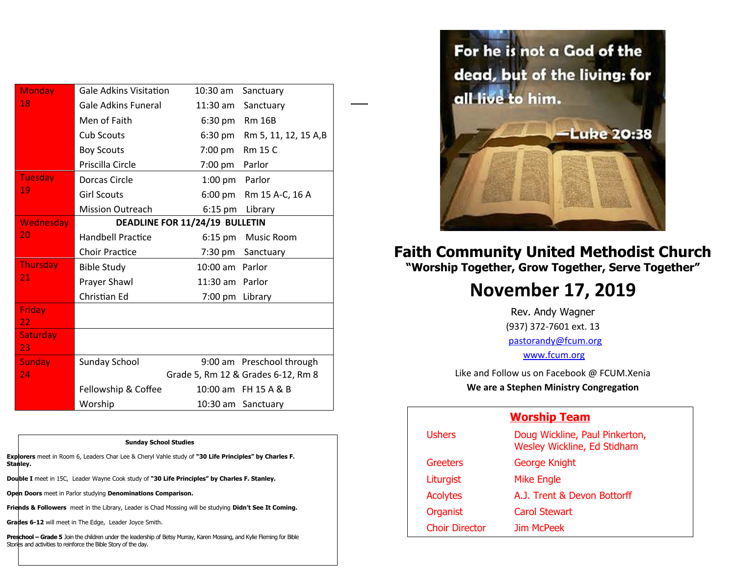| <b>Monday</b>         | <b>Gale Adkins Visitation</b>  | $10:30$ am      | Sanctuary                          |
|-----------------------|--------------------------------|-----------------|------------------------------------|
| 18                    | <b>Gale Adkins Funeral</b>     | $11:30$ am      | Sanctuary                          |
|                       | Men of Faith                   | 6:30 pm         | <b>Rm 16B</b>                      |
|                       | <b>Cub Scouts</b>              | 6:30 pm         | Rm 5, 11, 12, 15 A,B               |
|                       | <b>Boy Scouts</b>              | 7:00 pm         | <b>Rm 15 C</b>                     |
|                       | Priscilla Circle               | 7:00 pm         | Parlor                             |
| <b>Tuesday</b>        | Dorcas Circle                  | 1:00 pm Parlor  |                                    |
| 19                    | <b>Girl Scouts</b>             |                 | 6:00 pm Rm 15 A-C, 16 A            |
|                       | <b>Mission Outreach</b>        | 6:15 pm         | Library                            |
| Wednesday             | DEADLINE FOR 11/24/19 BULLETIN |                 |                                    |
| 20                    | <b>Handbell Practice</b>       | $6:15$ pm       | <b>Music Room</b>                  |
|                       | <b>Choir Practice</b>          |                 | 7:30 pm Sanctuary                  |
| <b>Thursday</b>       | <b>Bible Study</b>             | 10:00 am Parlor |                                    |
| 21                    | Prayer Shawl                   | 11:30 am Parlor |                                    |
|                       | Christian Ed                   | 7:00 pm Library |                                    |
| <b>Friday</b>         |                                |                 |                                    |
| 22                    |                                |                 |                                    |
| <b>Saturday</b><br>23 |                                |                 |                                    |
| <b>Sunday</b>         | Sunday School                  |                 | 9:00 am Preschool through          |
| 24                    |                                |                 | Grade 5, Rm 12 & Grades 6-12, Rm 8 |
|                       | Fellowship & Coffee            |                 | 10:00 am FH 15 A & B               |
|                       | Worship                        |                 | 10:30 am Sanctuary                 |

1

**Sunday School Studies**

**Explorers** meet in Room 6, Leaders Char Lee & Cheryl Vahle study of **"30 Life Principles" by Charles F. Stanley.** 

**Double I** meet in 15C, Leader Wayne Cook study of **"30 Life Principles" by Charles F. Stanley.**

**Open Doors** meet in Parlor studying **Denominations Comparison.**

**Friends & Followers** meet in the Library, Leader is Chad Mossing will be studying **Didn't See It Coming.**

**Grades 6-12** will meet in The Edge, Leader Joyce Smith.

Preschool - Grade 5 Join the children under the leadership of Betsy Murray, Karen Mossing, and Kylie Fleming for Bible Stories and activities to reinforce the Bible Story of the day.



#### **Faith Community United Methodist Church "Worship Together, Grow Together, Serve Together"**

## **November 17, 2019**

Rev. Andy Wagner (937) 372-7601 ext. 13 [pastorandy@fcum.org](mailto:pastorandy@fcum.org) [www.fcum.org](http://www.fcum.org/)

Like and Follow us on Facebook @ FCUM.Xenia **We are a Stephen Ministry Congregation**

#### **Worship Team**

| <b>Ushers</b>         | Doug Wickline, Paul Pinkerton,<br>Wesley Wickline, Ed Stidham |
|-----------------------|---------------------------------------------------------------|
| Greeters              | George Knight                                                 |
| Liturgist             | <b>Mike Engle</b>                                             |
| <b>Acolytes</b>       | A.J. Trent & Devon Bottorff                                   |
| Organist              | Carol Stewart                                                 |
| <b>Choir Director</b> | Jim McPeek                                                    |